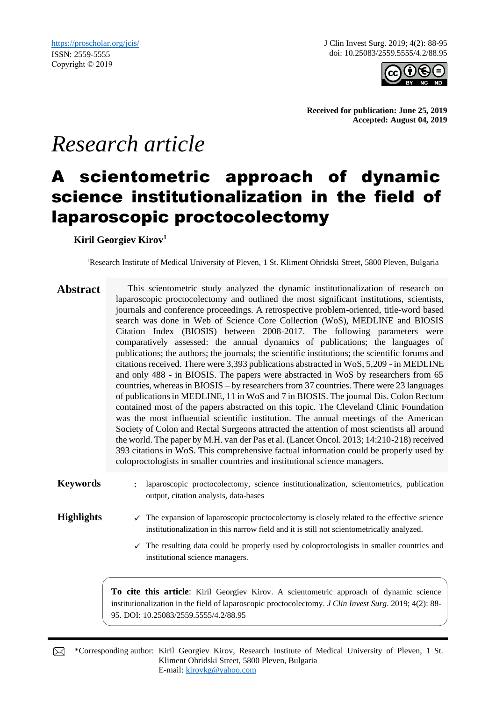J Clin Invest Surg. 2019; 4(2): 88-95 doi: 10.25083/2559.5555/4.2/88.95



**Received for publication: June 25, 2019 Accepted: August 04, 2019**

# *Research article*

# A scientometric approach of dynamic science institutionalization in the field of laparoscopic proctocolectomy

**Kiril Georgiev Kirov<sup>1</sup>**

<sup>1</sup>Research Institute of Medical University of Pleven, 1 St. Kliment Ohridski Street, 5800 Pleven, Bulgaria

- Abstract This scientometric study analyzed the dynamic institutionalization of research on laparoscopic proctocolectomy and outlined the most significant institutions, scientists, journals and conference proceedings. A retrospective problem-oriented, title-word based search was done in Web of Science Core Collection (WoS), MEDLINE and BIOSIS Citation Index (BIOSIS) between 2008-2017. The following parameters were comparatively assessed: the annual dynamics of publications; the languages of publications; the authors; the journals; the scientific institutions; the scientific forums and citations received. There were 3,393 publications abstracted in WoS, 5,209 - in MEDLINE and only 488 - in BIOSIS. The papers were abstracted in WoS by researchers from 65 countries, whereas in BIOSIS – by researchers from 37 countries. There were 23 languages of publications in MEDLINE, 11 in WoS and 7 in BIOSIS. The journal Dis. Colon Rectum contained most of the papers abstracted on this topic. The Cleveland Clinic Foundation was the most influential scientific institution. The annual meetings of the American Society of Colon and Rectal Surgeons attracted the attention of most scientists all around the world. The paper by M.H. van der Pas et al. (Lancet Oncol. 2013; 14:210-218) received 393 citations in WoS. This comprehensive factual information could be properly used by coloproctologists in smaller countries and institutional science managers.
- **Keywords** : laparoscopic proctocolectomy, science institutionalization, scientometrics, publication output, citation analysis, data-bases

- **Highlights**  $\checkmark$  The expansion of laparoscopic proctocolectomy is closely related to the effective science institutionalization in this narrow field and it is still not scientometrically analyzed.
	- $\checkmark$  The resulting data could be properly used by coloproctologists in smaller countries and institutional science managers.

**To cite this article**: Kiril Georgiev Kirov. A scientometric approach of dynamic science institutionalization in the field of laparoscopic proctocolectomy. *J Clin Invest Surg*. 2019; 4(2): 88- 95. DOI: 10.25083/2559.5555/4.2/88.95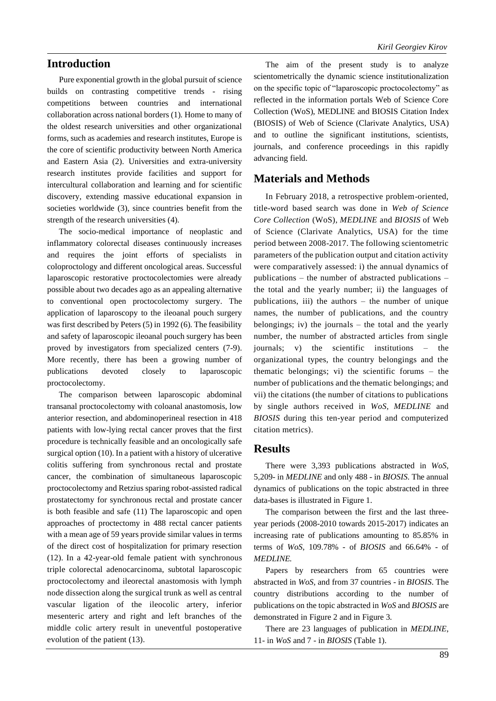### **Introduction**

Pure exponential growth in the global pursuit of science builds on contrasting competitive trends - rising competitions between countries and international collaboration across national borders (1). Home to many of the oldest research universities and other organizational forms, such as academies and research institutes, Europe is the core of scientific productivity between North America and Eastern Asia (2). Universities and extra-university research institutes provide facilities and support for intercultural collaboration and learning and for scientific discovery, extending massive educational expansion in societies worldwide (3), since countries benefit from the strength of the research universities (4).

The socio-medical importance of neoplastic and inflammatory colorectal diseases continuously increases and requires the joint efforts of specialists in coloproctology and different oncological areas. Successful laparoscopic restorative proctocolectomies were already possible about two decades ago as an appealing alternative to conventional open proctocolectomy surgery. The application of laparoscopy to the ileoanal pouch surgery was first described by Peters (5) in 1992 (6). The feasibility and safety of laparoscopic ileoanal pouch surgery has been proved by investigators from specialized centers (7-9). More recently, there has been a growing number of publications devoted closely to laparoscopic proctocolectomy.

The comparison between laparoscopic abdominal transanal proctocolectomy with coloanal anastomosis, low anterior resection, and abdominoperineal resection in 418 patients with low-lying rectal cancer proves that the first procedure is technically feasible and an oncologically safe surgical option (10). In a patient with a history of ulcerative colitis suffering from synchronous rectal and prostate cancer, the combination of simultaneous laparoscopic proctocolectomy and Retzius sparing robot-assisted radical prostatectomy for synchronous rectal and prostate cancer is both feasible and safe (11) The laparoscopic and open approaches of proctectomy in 488 rectal cancer patients with a mean age of 59 years provide similar values in terms of the direct cost of hospitalization for primary resection (12). In a 42-year-old female patient with synchronous triple colorectal adenocarcinoma, subtotal laparoscopic proctocolectomy and ileorectal anastomosis with lymph node dissection along the surgical trunk as well as central vascular ligation of the ileocolic artery, inferior mesenteric artery and right and left branches of the middle colic artery result in uneventful postoperative evolution of the patient (13).

The aim of the present study is to analyze scientometrically the dynamic science institutionalization on the specific topic of "laparoscopic proctocolectomy" as reflected in the information portals Web of Science Core Collection (WoS), MEDLINE and BIOSIS Citation Index (BIOSIS) of Web of Science (Clarivate Analytics, USA) and to outline the significant institutions, scientists, journals, and conference proceedings in this rapidly advancing field.

# **Materials and Methods**

In February 2018, a retrospective problem-oriented, title-word based search was done in *Web of Science Core Collection* (WoS), *MEDLINE* and *BIOSIS* of Web of Science (Clarivate Analytics, USA) for the time period between 2008-2017. The following scientometric parameters of the publication output and citation activity were comparatively assessed: i) the annual dynamics of publications – the number of abstracted publications – the total and the yearly number; ii) the languages of publications, iii) the authors – the number of unique names, the number of publications, and the country belongings; iv) the journals – the total and the yearly number, the number of abstracted articles from single journals; v) the scientific institutions – the organizational types, the country belongings and the thematic belongings; vi) the scientific forums – the number of publications and the thematic belongings; and vii) the citations (the number of citations to publications by single authors received in *WoS, MEDLINE* and *BIOSIS* during this ten-year period and computerized citation metrics).

#### **Results**

There were 3,393 publications abstracted in *WoS*, 5,209- in *MEDLINE* and only 488 - in *BIOSIS*. The annual dynamics of publications on the topic abstracted in three data-bases is illustrated in Figure 1.

The comparison between the first and the last threeyear periods (2008-2010 towards 2015-2017) indicates an increasing rate of publications amounting to 85.85% in terms of *WoS*, 109.78% - of *BIOSIS* and 66.64% - of *MEDLINE.*

Papers by researchers from 65 countries were abstracted in *WoS,* and from 37 countries - in *BIOSIS*. The country distributions according to the number of publications on the topic abstracted in *WoS* and *BIOSIS* are demonstrated in Figure 2 and in Figure 3.

There are 23 languages of publication in *MEDLINE*, 11- in *WoS* and 7 - in *BIOSIS* (Table 1).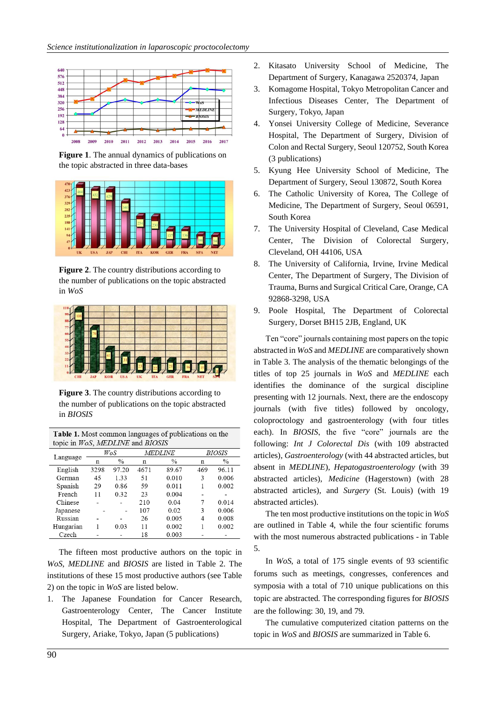

**Figure 1**. The annual dynamics of publications on the topic abstracted in three data-bases



**Figure 2**. The country distributions according to the number of publications on the topic abstracted in *WoS*



**Figure 3**. The country distributions according to the number of publications on the topic abstracted in *BIOSIS*

| Table 1. Most common languages of publications on the |  |
|-------------------------------------------------------|--|
| topic in WoS, MEDLINE and BIOSIS                      |  |

|           |      | WoS           |      | <b>MEDLINE</b> |     | <i>BIOSIS</i> |  |
|-----------|------|---------------|------|----------------|-----|---------------|--|
| Language  | n    | $\frac{0}{0}$ | n    | $\frac{0}{0}$  | n   | $\%$          |  |
| English   | 3298 | 97.20         | 4671 | 89.67          | 469 | 96.11         |  |
| German    | 45   | 1.33          | 51   | 0.010          | 3   | 0.006         |  |
| Spanish   | 29   | 0.86          | 59   | 0.011          | 1   | 0.002         |  |
| French    | 11   | 0.32          | 23   | 0.004          |     |               |  |
| Chinese   |      |               | 210  | 0.04           | 7   | 0.014         |  |
| Japanese  |      |               | 107  | 0.02           | 3   | 0.006         |  |
| Russian   |      |               | 26   | 0.005          | 4   | 0.008         |  |
| Hungarian |      | 0.03          | 11   | 0.002          |     | 0.002         |  |
| Czech     |      |               | 18   | 0.003          |     |               |  |

The fifteen most productive authors on the topic in *WoS*, *MEDLINE* and *BIOSIS* are listed in Table 2. The institutions of these 15 most productive authors (see Table 2) on the topic in *WoS* are listed below.

1. The Japanese Foundation for Cancer Research, Gastroenterology Center, The Cancer Institute Hospital, The Department of Gastroenterological Surgery, Ariake, Tokyo, Japan (5 publications)

- 2. Kitasato University School of Medicine, The Department of Surgery, Kanagawa 2520374, Japan
- 3. Komagome Hospital, Tokyo Metropolitan Cancer and Infectious Diseases Center, The Department of Surgery, Tokyo, Japan
- 4. Yonsei University College of Medicine, Severance Hospital, The Department of Surgery, Division of Colon and Rectal Surgery, Seoul 120752, South Korea (3 publications)
- 5. Kyung Hee University School of Medicine, The Department of Surgery, Seoul 130872, South Korea
- 6. The Catholic University of Korea, The College of Medicine, The Department of Surgery, Seoul 06591, South Korea
- 7. The University Hospital of Cleveland, Case Medical Center, The Division of Colorectal Surgery, Cleveland, OH 44106, USA
- 8. The University of California, Irvine, Irvine Medical Center, The Department of Surgery, The Division of Trauma, Burns and Surgical Critical Care, Orange, CA 92868-3298, USA
- 9. Poole Hospital, The Department of Colorectal Surgery, Dorset BH15 2JB, England, UK

Ten "core" journals containing most papers on the topic abstracted in *WoS* and *MEDLINE* are comparatively shown in Table 3. The analysis of the thematic belongings of the titles of top 25 journals in *WoS* and *MEDLINE* each identifies the dominance of the surgical discipline presenting with 12 journals. Next, there are the endoscopy journals (with five titles) followed by oncology, coloproctology and gastroenterology (with four titles each). In *BIOSIS*, the five "core" journals are the following: *Int J Colorectal Dis* (with 109 abstracted articles), *Gastroenterology* (with 44 abstracted articles, but absent in *MEDLINE*), *Hepatogastroenterology* (with 39 abstracted articles), *Medicine* (Hagerstown) (with 28 abstracted articles), and *Surgery* (St. Louis) (with 19 abstracted articles).

The ten most productive institutions on the topic in *WoS*  are outlined in Table 4, while the four scientific forums with the most numerous abstracted publications - in Table 5.

In *WoS*, a total of 175 single events of 93 scientific forums such as meetings, congresses, conferences and symposia with a total of 710 unique publications on this topic are abstracted*.* The corresponding figures for *BIOSIS* are the following: 30, 19, and 79.

The cumulative computerized citation patterns on the topic in *WoS* and *BIOSIS* are summarized in Table 6.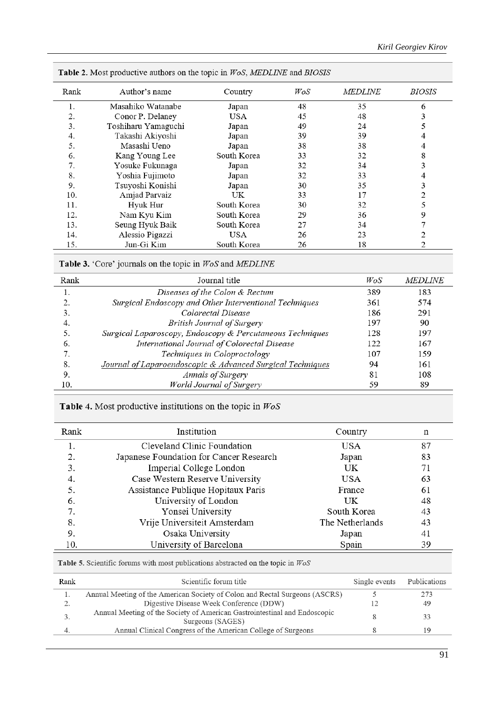| Rank | Author's name       | Country     | WoS | <b>MEDLINE</b> | <i>BIOSIS</i> |
|------|---------------------|-------------|-----|----------------|---------------|
| 1.   | Masahiko Watanabe   | Japan       | 48  | 35             | 6             |
| 2.   | Conor P. Delaney    | USA         | 45  | 48             | 3             |
| 3.   | Toshiharu Yamaguchi | Japan       | 49  | 24             |               |
| 4.   | Takashi Akiyoshi    | Japan       | 39  | 39             |               |
| 5.   | Masashi Ueno        | Japan       | 38  | 38             | 4             |
| 6.   | Kang Young Lee      | South Korea | 33  | 32             | 8             |
| 7.   | Yosuke Fukunaga     | Japan       | 32  | 34             | 3             |
| 8.   | Yoshia Fujimoto     | Japan       | 32  | 33             | 4             |
| 9.   | Tsuyoshi Konishi    | Japan       | 30  | 35             | 3             |
| 10.  | Amjad Parvaiz       | UK          | 33  | 17             |               |
| 11.  | Hyuk Hur            | South Korea | 30  | 32             |               |
| 12.  | Nam Kyu Kim         | South Korea | 29  | 36             | 9             |
| 13.  | Seung Hyuk Baik     | South Korea | 27  | 34             |               |
| 14.  | Alessio Pigazzi     | USA         | 26  | 23             | 2             |
| 15.  | Jun-Gi Kim          | South Korea | 26  | 18             | 2             |

Table 2. Most productive authors on the topic in WoS, MEDLINE and BIOSIS

Table 3. 'Core' journals on the topic in WoS and MEDLINE

| Rank | Journal title                                              | WoS | <b>MEDLINE</b> |
|------|------------------------------------------------------------|-----|----------------|
| l.   | Diseases of the Colon & Rectum                             | 389 | 183            |
|      | Surgical Endoscopy and Other Interventional Techniques     | 361 | 574            |
| 3.   | Colorectal Disease                                         | 186 | 291            |
| 4.   | <b>British Journal of Surgery</b>                          | 197 | 90             |
|      | Surgical Laparoscopy, Endoscopy & Percutaneous Techniques  | 128 | 197            |
| 6.   | International Journal of Colorectal Disease                | 122 | 167            |
|      | Techniques in Coloproctology                               | 107 | 159            |
| 8.   | Journal of Laparoendoscopic & Advanced Surgical Techniques | 94  | 161            |
| 9.   | Annals of Surgery                                          | 81  | 108            |
| 10.  | World Journal of Surgery                                   | 59  | 89             |

Table 4. Most productive institutions on the topic in  $WoS$ 

| Rank | Institution                             | Country         | n  |
|------|-----------------------------------------|-----------------|----|
|      | Cleveland Clinic Foundation             | USA             | 87 |
| 2.   | Japanese Foundation for Cancer Research | Japan           | 83 |
| 3.   | Imperial College London                 | UK              | 71 |
| 4.   | Case Western Reserve University         | USA             | 63 |
|      | Assistance Publique Hopitaux Paris      | France          | 61 |
| 6.   | University of London                    | UK              | 48 |
| 7.   | Yonsei University                       | South Korea     | 43 |
| 8.   | Vrije Universiteit Amsterdam            | The Netherlands | 43 |
| 9.   | Osaka University                        | Japan           | 41 |
| 10.  | University of Barcelona                 | Spain           | 39 |

Table 5. Scientific forums with most publications abstracted on the topic in  $WoS$ 

| Rank       | Scientific forum title                                                                        | Single events | Publications |
|------------|-----------------------------------------------------------------------------------------------|---------------|--------------|
| 1.         | Annual Meeting of the American Society of Colon and Rectal Surgeons (ASCRS)                   |               | 273          |
| , <u>,</u> | Digestive Disease Week Conference (DDW)                                                       |               | 49           |
| . ر        | Annual Meeting of the Society of American Gastrointestinal and Endoscopic<br>Surgeons (SAGES) |               | 33           |
| 4.         | Annual Clinical Congress of the American College of Surgeons                                  |               | 19           |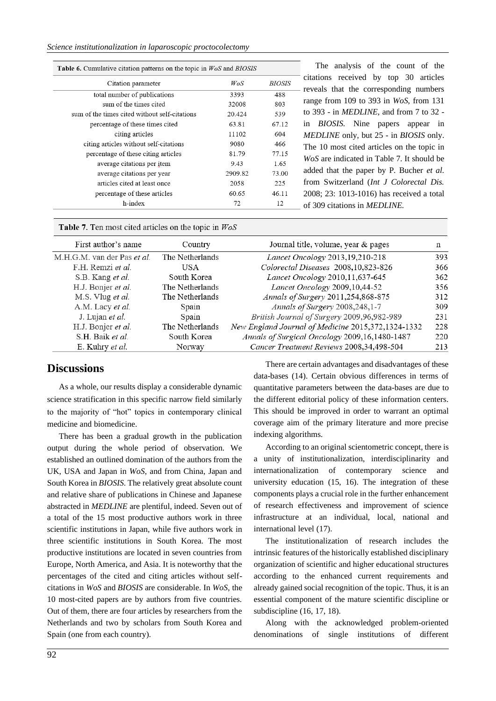| <b>Table 6.</b> Cumulative citation patterns on the topic in $W \circ S$ and BIOSIS |         |               |  |  |
|-------------------------------------------------------------------------------------|---------|---------------|--|--|
| Citation parameter                                                                  | WoS     | <i>BIOSIS</i> |  |  |
| total number of publications                                                        | 3393    | 488           |  |  |
| sum of the times cited                                                              | 32008   | 803           |  |  |
| sum of the times cited without self-citations                                       | 20.424  | 539           |  |  |
| percentage of these times cited                                                     | 63.81   | 67.12         |  |  |
| citing articles                                                                     | 11102   | 604           |  |  |
| citing articles without self-citations                                              | 9080    | 466           |  |  |
| percentage of these citing articles                                                 | 81.79   | 77.15         |  |  |
| average citations per item                                                          | 9.43    | 1.65          |  |  |
| average citations per year                                                          | 2909.82 | 73.00         |  |  |
| articles cited at least once                                                        | 2058    | 225           |  |  |
| percentage of these articles                                                        | 60.65   | 46.11         |  |  |
| h-index                                                                             | 72      | 12            |  |  |

The analysis of the count of the citations received by top 30 articles reveals that the corresponding numbers range from 109 to 393 in *WoS*, from 131 to 393 - in *MEDLINE*, and from 7 to 32 in *BIOSIS*. Nine papers appear in *MEDLINE* only, but 25 - in *BIOSIS* only. The 10 most cited articles on the topic in *WoS* are indicated in Table 7. It should be added that the paper by P. Bucher *et al.*  from Switzerland (*Int J Colorectal Dis.*  2008; 23: 1013-1016) has received a total of 309 citations in *MEDLINE.*

Table 7. Ten most cited articles on the topic in  $WoS$ 

| First author's name         | Country         | Journal title, volume, year & pages                | n   |
|-----------------------------|-----------------|----------------------------------------------------|-----|
| M.H.G.M. van der Pas et al. | The Netherlands | Lancet Oncology 2013,19,210-218                    | 393 |
| F.H. Remzi et al.           | USA.            | Colorectal Diseases 2008,10,823-826                | 366 |
| S.B. Kang et al.            | South Korea     | Lancet Oncology 2010,11,637-645                    | 362 |
| H.J. Bonjer et al.          | The Netherlands | Lancet Oncology 2009,10,44-52                      | 356 |
| M.S. Vlug et al.            | The Netherlands | Annals of Surgery 2011,254,868-875                 | 312 |
| A.M. Lacy et al.            | Spain           | Annals of Surgery 2008,248,1-7                     | 309 |
| J. Lujan et al.             | Spain           | British Journal of Surgery 2009,96,982-989         | 231 |
| H.J. Bonjer et al.          | The Netherlands | New England Journal of Medicine 2015,372,1324-1332 | 228 |
| S.H. Baik et al.            | South Korea     | Annals of Surgical Oncology 2009,16,1480-1487      | 220 |
| E. Kuhry et al.             | Norway          | Cancer Treatment Reviews 2008,34,498-504           | 213 |

#### **Discussions**

As a whole, our results display a considerable dynamic science stratification in this specific narrow field similarly to the majority of "hot" topics in contemporary clinical medicine and biomedicine.

There has been a gradual growth in the publication output during the whole period of observation. We established an outlined domination of the authors from the UK, USA and Japan in *WoS*, and from China, Japan and South Korea in *BIOSIS*. The relatively great absolute count and relative share of publications in Chinese and Japanese abstracted in *MEDLINE* are plentiful, indeed. Seven out of a total of the 15 most productive authors work in three scientific institutions in Japan, while five authors work in three scientific institutions in South Korea. The most productive institutions are located in seven countries from Europe, North America, and Asia. It is noteworthy that the percentages of the cited and citing articles without selfcitations in *WoS* and *BIOSIS* are considerable. In *WoS*, the 10 most-cited papers are by authors from five countries. Out of them, there are four articles by researchers from the Netherlands and two by scholars from South Korea and Spain (one from each country).

There are certain advantages and disadvantages of these data-bases (14). Certain obvious differences in terms of quantitative parameters between the data-bases are due to the different editorial policy of these information centers. This should be improved in order to warrant an optimal coverage aim of the primary literature and more precise indexing algorithms.

According to an original scientometric concept, there is a unity of institutionalization, interdisciplinarity and internationalization of contemporary science and university education (15, 16). The integration of these components plays a crucial role in the further enhancement of research effectiveness and improvement of science infrastructure at an individual, local, national and international level (17).

The institutionalization of research includes the intrinsic features of the historically established disciplinary organization of scientific and higher educational structures according to the enhanced current requirements and already gained social recognition of the topic. Thus, it is an essential component of the mature scientific discipline or subdiscipline (16, 17, 18).

Along with the acknowledged problem-oriented denominations of single institutions of different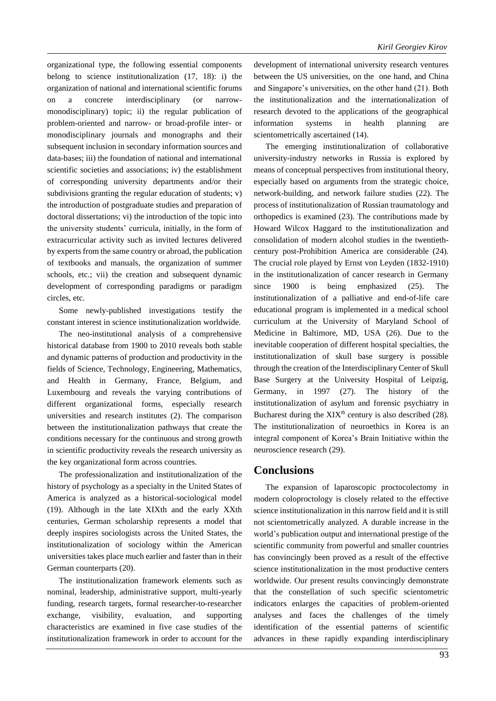organizational type, the following essential components belong to science institutionalization (17, 18): i) the organization of national and international scientific forums on a concrete interdisciplinary (or narrowmonodisciplinary) topic; ii) the regular publication of problem-oriented and narrow- or broad-profile inter- or monodisciplinary journals and monographs and their subsequent inclusion in secondary information sources and data-bases; iii) the foundation of national and international scientific societies and associations; iv) the establishment of corresponding university departments and/or their subdivisions granting the regular education of students; v) the introduction of postgraduate studies and preparation of doctoral dissertations; vi) the introduction of the topic into the university students' curricula, initially, in the form of extracurricular activity such as invited lectures delivered by experts from the same country or abroad, the publication of textbooks and manuals, the organization of summer schools, etc.; vii) the creation and subsequent dynamic development of corresponding paradigms or paradigm circles, etc.

Some newly-published investigations testify the constant interest in science institutionalization worldwide.

The neo-institutional analysis of a comprehensive historical database from 1900 to 2010 reveals both stable and dynamic patterns of production and productivity in the fields of Science, Technology, Engineering, Mathematics, and Health in Germany, France, Belgium, and Luxembourg and reveals the varying contributions of different organizational forms, especially research universities and research institutes (2). The comparison between the institutionalization pathways that create the conditions necessary for the continuous and strong growth in scientific productivity reveals the research university as the key organizational form across countries.

The professionalization and institutionalization of the history of psychology as a specialty in the United States of America is analyzed as a historical-sociological model (19). Although in the late XIXth and the early XXth centuries, German scholarship represents a model that deeply inspires sociologists across the United States, the institutionalization of sociology within the American universities takes place much earlier and faster than in their German counterparts (20).

The institutionalization framework elements such as nominal, leadership, administrative support, multi-yearly funding, research targets, formal researcher-to-researcher exchange, visibility, evaluation, and supporting characteristics are examined in five case studies of the institutionalization framework in order to account for the development of international university research ventures between the US universities, on the one hand, and China and Singapore's universities, on the other hand (21). Both the institutionalization and the internationalization of research devoted to the applications of the geographical information systems in health planning are scientometrically ascertained (14).

The emerging institutionalization of collaborative university-industry networks in Russia is explored by means of conceptual perspectives from institutional theory, especially based on arguments from the strategic choice, network-building, and network failure studies (22). The process of institutionalization of Russian traumatology and orthopedics is examined (23). The contributions made by Howard Wilcox Haggard to the institutionalization and consolidation of modern alcohol studies in the twentiethcentury post-Prohibition America are considerable (24). The crucial role played by Ernst von Leyden (1832-1910) in the institutionalization of cancer research in Germany since 1900 is being emphasized (25). The institutionalization of a palliative and end-of-life care educational program is implemented in a medical school curriculum at the University of Maryland School of Medicine in Baltimore, MD, USA (26). Due to the inevitable cooperation of different hospital specialties, the institutionalization of skull base surgery is possible through the creation of the Interdisciplinary Center of Skull Base Surgery at the University Hospital of Leipzig, Germany, in 1997 (27). The history of the institutionalization of asylum and forensic psychiatry in Bucharest during the  $XIX<sup>th</sup>$  century is also described (28). The institutionalization of neuroethics in Korea is an integral component of Korea's Brain Initiative within the neuroscience research (29).

#### **Conclusions**

The expansion of laparoscopic proctocolectomy in modern coloproctology is closely related to the effective science institutionalization in this narrow field and it is still not scientometrically analyzed. A durable increase in the world's publication output and international prestige of the scientific community from powerful and smaller countries has convincingly been proved as a result of the effective science institutionalization in the most productive centers worldwide. Our present results convincingly demonstrate that the constellation of such specific scientometric indicators enlarges the capacities of problem-oriented analyses and faces the challenges of the timely identification of the essential patterns of scientific advances in these rapidly expanding interdisciplinary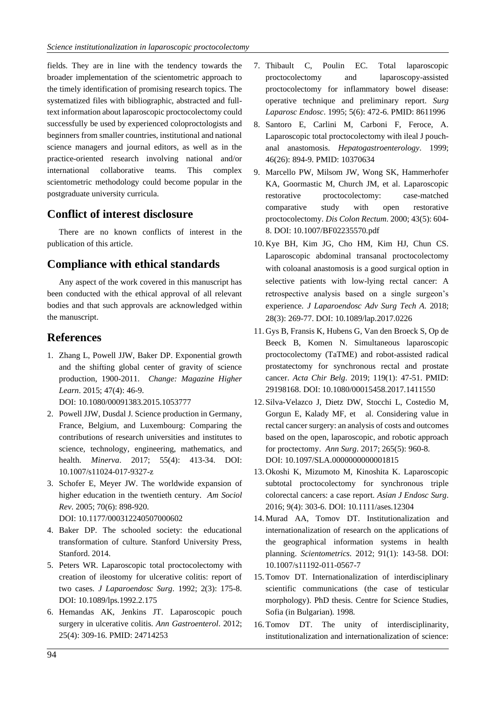fields. They are in line with the tendency towards the broader implementation of the scientometric approach to the timely identification of promising research topics. The systematized files with bibliographic, abstracted and fulltext information about laparoscopic proctocolectomy could successfully be used by experienced coloproctologists and beginners from smaller countries, institutional and national science managers and journal editors, as well as in the practice-oriented research involving national and/or international collaborative teams. This complex scientometric methodology could become popular in the postgraduate university curricula.

# **Conflict of interest disclosure**

There are no known conflicts of interest in the publication of this article.

# **Compliance with ethical standards**

Any aspect of the work covered in this manuscript has been conducted with the ethical approval of all relevant bodies and that such approvals are acknowledged within the manuscript.

# **References**

1. Zhang L, Powell JJW, Baker DP. Exponential growth and the shifting global center of gravity of science production, 1900-2011. *Change: Magazine Higher Learn*. 2015; 47(4): 46-9.

DOI: 10.1080/00091383.2015.1053777

- 2. Powell JJW, Dusdal J. Science production in Germany, France, Belgium, and Luxembourg: Comparing the contributions of research universities and institutes to science, technology, engineering, mathematics, and health. *Minerva*. 2017; 55(4): 413-34. DOI: 10.1007/s11024-017-9327-z
- 3. Schofer E, Meyer JW. The worldwide expansion of higher education in the twentieth century. *Am Sociol Rev*. 2005; 70(6): 898-920. DOI: 10.1177/000312240507000602
- 4. Baker DP. The schooled society: the educational transformation of culture. Stanford University Press,
- Stanford. 2014. 5. Peters WR. Laparoscopic total proctocolectomy with creation of ileostomy for ulcerative colitis: report of two cases. *J Laparoendosc Surg*. 1992; 2(3): 175-8. DOI: 10.1089/lps.1992.2.175
- 6. Hemandas AK, Jenkins JT. Laparoscopic pouch surgery in ulcerative colitis. *Ann Gastroenterol*. 2012; 25(4): 309-16. PMID: 24714253
- 7. Thibault C, Poulin EC. Total laparoscopic proctocolectomy and laparoscopy-assisted proctocolectomy for inflammatory bowel disease: operative technique and preliminary report. *Surg Laparosc Endosc*. 1995; 5(6): 472-6. PMID: 8611996
- 8. Santoro E, Carlini M, Carboni F, Feroce, A. Laparoscopic total proctocolectomy with ileal J pouchanal anastomosis. *Hepatogastroenterology*. 1999; 46(26): 894-9. PMID: 10370634
- 9. Marcello PW, Milsom JW, Wong SK, Hammerhofer KA, Goormastic M, Church JM, et al. Laparoscopic restorative proctocolectomy: case-matched comparative study with open restorative proctocolectomy. *Dis Colon Rectum*. 2000; 43(5): 604- 8. DOI: 10.1007/BF02235570.pdf
- 10. Kye BH, Kim JG, Cho HM, Kim HJ, Chun CS. Laparoscopic abdominal transanal proctocolectomy with coloanal anastomosis is a good surgical option in selective patients with low-lying rectal cancer: A retrospective analysis based on a single surgeon's experience. *J Laparoendosc Adv Surg Tech A*. 2018; 28(3): 269-77. DOI: 10.1089/lap.2017.0226
- 11. Gys B, Fransis K, Hubens G, Van den Broeck S, Op de Beeck B, Komen N. Simultaneous laparoscopic proctocolectomy (TaTME) and robot-assisted radical prostatectomy for synchronous rectal and prostate cancer. *Acta Chir Belg*. 2019; 119(1): 47-51. PMID: 29198168. DOI: 10.1080/00015458.2017.1411550
- 12.Silva-Velazco J, Dietz DW, Stocchi L, Costedio M, Gorgun E, Kalady MF, et al. Considering value in rectal cancer surgery: an analysis of costs and outcomes based on the open, laparoscopic, and robotic approach for proctectomy. *Ann Surg*. 2017; 265(5): 960-8. DOI: 10.1097/SLA.0000000000001815
- 13. Okoshi K, Mizumoto M, Kinoshita K. Laparoscopic subtotal proctocolectomy for synchronous triple colorectal cancers: a case report. *Asian J Endosc Surg*. 2016; 9(4): 303-6. DOI: 10.1111/ases.12304
- 14. Murad AA, Tomov DT. Institutionalization and internationalization of research on the applications of the geographical information systems in health planning. *Scientometrics*. 2012; 91(1): 143-58. DOI: 10.1007/s11192-011-0567-7
- 15. Tomov DT. Internationalization of interdisciplinary scientific communications (the case of testicular morphology). PhD thesis. Centre for Science Studies, Sofia (in Bulgarian). 1998.
- 16. Tomov DT. The unity of interdisciplinarity, institutionalization and internationalization of science: